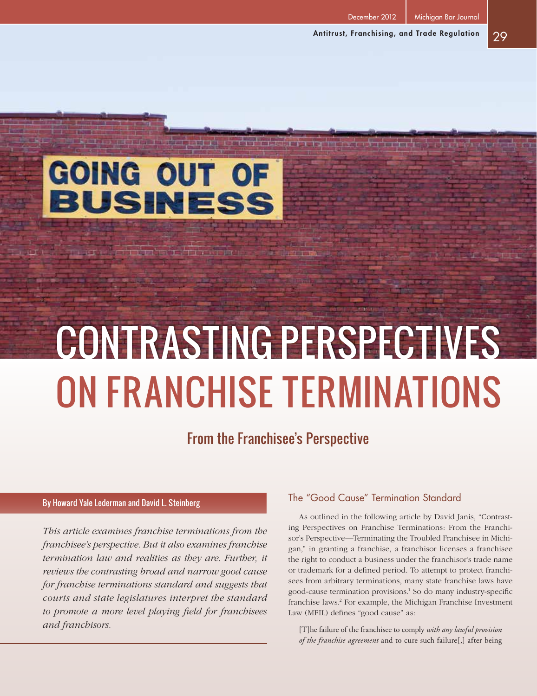December 2012 | Michigan Bar Journal

# GOING OUT OF **BUSINESS**

# Contrasting Perspectives on Franchise Terminations

# From the Franchisee's Perspective

# By Howard Yale Lederman and David L. Steinberg

*This article examines franchise terminations from the franchisee's perspective. But it also examines franchise termination law and realities as they are. Further, it reviews the contrasting broad and narrow good cause for franchise terminations standard and suggests that courts and state legislatures interpret the standard to promote a more level playing field for franchisees and franchisors.*

# The "Good Cause" Termination Standard

As outlined in the following article by David Janis, "Contrasting Perspectives on Franchise Terminations: From the Franchisor's Perspective—Terminating the Troubled Franchisee in Michigan," in granting a franchise, a franchisor licenses a franchisee the right to conduct a business under the franchisor's trade name or trademark for a defined period. To attempt to protect franchisees from arbitrary terminations, many state franchise laws have good-cause termination provisions.1 So do many industry-specific franchise laws.<sup>2</sup> For example, the Michigan Franchise Investment Law (MFIL) defines "good cause" as:

[T]he failure of the franchisee to comply *with any lawful provision of the franchise agreement* and to cure such failure[,] after being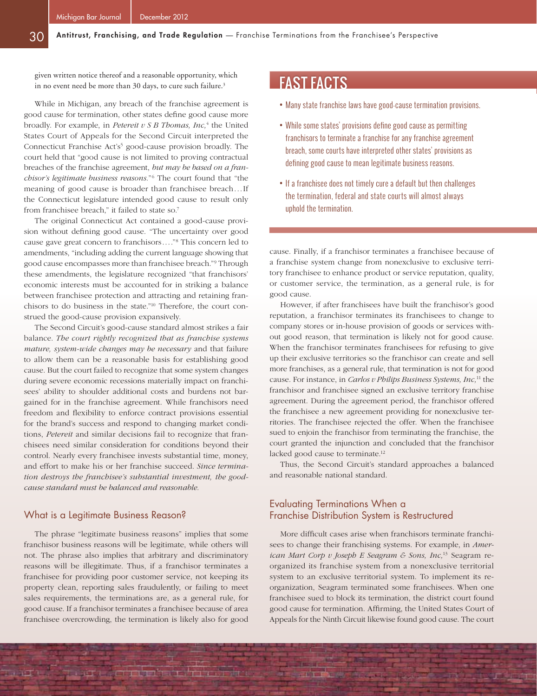given written notice thereof and a reasonable opportunity, which in no event need be more than 30 days, to cure such failure.<sup>3</sup>

While in Michigan, any breach of the franchise agreement is good cause for termination, other states define good cause more broadly. For example, in *Petereit v S B Thomas, Inc,*<sup>4</sup> the United States Court of Appeals for the Second Circuit interpreted the Connecticut Franchise Act's<sup>5</sup> good-cause provision broadly. The court held that "good cause is not limited to proving contractual breaches of the franchise agreement, *but may be based on a franchisor's legitimate business reasons.*"6 The court found that "the meaning of good cause is broader than franchisee breach...If the Connecticut legislature intended good cause to result only from franchisee breach," it failed to state so.7

The original Connecticut Act contained a good-cause provision without defining good cause. "The uncertainty over good cause gave great concern to franchisors...."8 This concern led to amendments, "including adding the current language showing that good cause encompasses more than franchisee breach."9 Through these amendments, the legislature recognized "that franchisors' economic interests must be accounted for in striking a balance between franchisee protection and attracting and retaining franchisors to do business in the state."10 Therefore, the court construed the good-cause provision expansively.

The Second Circuit's good-cause standard almost strikes a fair balance. *The court rightly recognized that as franchise systems mature, system-wide changes may be necessary* and that failure to allow them can be a reasonable basis for establishing good cause. But the court failed to recognize that some system changes during severe economic recessions materially impact on franchisees' ability to shoulder additional costs and burdens not bargained for in the franchise agreement. While franchisors need freedom and flexibility to enforce contract provisions essential for the brand's success and respond to changing market conditions, *Petereit* and similar decisions fail to recognize that franchisees need similar consideration for conditions beyond their control. Nearly every franchisee invests substantial time, money, and effort to make his or her franchise succeed. *Since termination destroys the franchisee's substantial investment, the goodcause standard must be balanced and reasonable.*

#### What is a Legitimate Business Reason?

The phrase "legitimate business reasons" implies that some franchisor business reasons will be legitimate, while others will not. The phrase also implies that arbitrary and discriminatory reasons will be illegitimate. Thus, if a franchisor terminates a franchisee for providing poor customer service, not keeping its property clean, reporting sales fraudulently, or failing to meet sales requirements, the terminations are, as a general rule, for good cause. If a franchisor terminates a franchisee because of area franchisee overcrowding, the termination is likely also for good

**TANT LEATHER THE TANK** 

**TILL** 

# FAST FACTS

- Many state franchise laws have good-cause termination provisions.
- While some states' provisions define good cause as permitting franchisors to terminate a franchise for any franchise agreement breach, some courts have interpreted other states' provisions as defining good cause to mean legitimate business reasons.
- If a franchisee does not timely cure a default but then challenges the termination, federal and state courts will almost always uphold the termination.

cause. Finally, if a franchisor terminates a franchisee because of a franchise system change from nonexclusive to exclusive territory franchisee to enhance product or service reputation, quality, or customer service, the termination, as a general rule, is for good cause.

However, if after franchisees have built the franchisor's good reputation, a franchisor terminates its franchisees to change to company stores or in-house provision of goods or services without good reason, that termination is likely not for good cause. When the franchisor terminates franchisees for refusing to give up their exclusive territories so the franchisor can create and sell more franchises, as a general rule, that termination is not for good cause. For instance, in *Carlos v Philips Business Systems, Inc,*11 the franchisor and franchisee signed an exclusive territory franchise agreement. During the agreement period, the franchisor offered the franchisee a new agreement providing for nonexclusive territories. The franchisee rejected the offer. When the franchisee sued to enjoin the franchisor from terminating the franchise, the court granted the injunction and concluded that the franchisor lacked good cause to terminate.<sup>12</sup>

Thus, the Second Circuit's standard approaches a balanced and reasonable national standard.

# Evaluating Terminations When a Franchise Distribution System is Restructured

erin F

More difficult cases arise when franchisors terminate franchisees to change their franchising systems. For example, in *American Mart Corp v Joseph E Seagram & Sons, Inc,*13 Seagram reorganized its franchise system from a nonexclusive territorial system to an exclusive territorial system. To implement its reorganization, Seagram terminated some franchisees. When one franchisee sued to block its termination, the district court found good cause for termination. Affirming, the United States Court of Appeals for the Ninth Circuit likewise found good cause. The court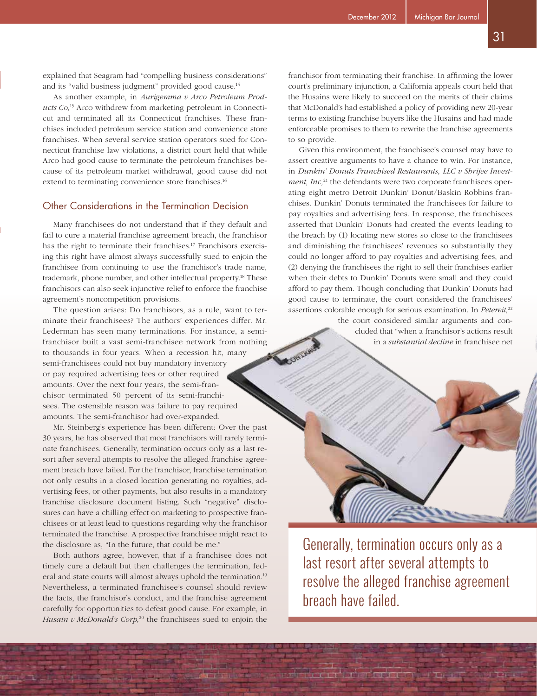explained that Seagram had "compelling business considerations" and its "valid business judgment" provided good cause.<sup>14</sup>

As another example, in *Aurigemma v Arco Petroleum Products Co,*15 Arco withdrew from marketing petroleum in Connecticut and terminated all its Connecticut franchises. These franchises included petroleum service station and convenience store franchises. When several service station operators sued for Connecticut franchise law violations, a district court held that while Arco had good cause to terminate the petroleum franchises because of its petroleum market withdrawal, good cause did not extend to terminating convenience store franchises.<sup>16</sup>

# Other Considerations in the Termination Decision

Many franchisees do not understand that if they default and fail to cure a material franchise agreement breach, the franchisor has the right to terminate their franchises.<sup>17</sup> Franchisors exercising this right have almost always successfully sued to enjoin the franchisee from continuing to use the franchisor's trade name, trademark, phone number, and other intellectual property.18 These franchisors can also seek injunctive relief to enforce the franchise agreement's noncompetition provisions.

The question arises: Do franchisors, as a rule, want to terminate their franchisees? The authors' experiences differ. Mr. Lederman has seen many terminations. For instance, a semifranchisor built a vast semi-franchisee network from nothing to thousands in four years. When a recession hit, many semi-franchisees could not buy mandatory inventory or pay required advertising fees or other required amounts. Over the next four years, the semi-franchisor terminated 50 percent of its semi-franchisees. The ostensible reason was failure to pay required amounts. The semi-franchisor had over-expanded.

Mr. Steinberg's experience has been different: Over the past 30 years, he has observed that most franchisors will rarely terminate franchisees. Generally, termination occurs only as a last resort after several attempts to resolve the alleged franchise agreement breach have failed. For the franchisor, franchise termination not only results in a closed location generating no royalties, advertising fees, or other payments, but also results in a mandatory franchise disclosure document listing. Such "negative" disclosures can have a chilling effect on marketing to prospective franchisees or at least lead to questions regarding why the franchisor terminated the franchise. A prospective franchisee might react to the disclosure as, "In the future, that could be me."

Both authors agree, however, that if a franchisee does not timely cure a default but then challenges the termination, federal and state courts will almost always uphold the termination.<sup>19</sup> Nevertheless, a terminated franchisee's counsel should review the facts, the franchisor's conduct, and the franchise agreement carefully for opportunities to defeat good cause. For example, in *Husain v McDonald's Corp*,<sup>20</sup> the franchisees sued to enjoin the

a – rispinai

franchisor from terminating their franchise. In affirming the lower court's preliminary injunction, a California appeals court held that the Husains were likely to succeed on the merits of their claims that McDonald's had established a policy of providing new 20-year terms to existing franchise buyers like the Husains and had made enforceable promises to them to rewrite the franchise agreements to so provide.

Given this environment, the franchisee's counsel may have to assert creative arguments to have a chance to win. For instance, in *Dunkin' Donuts Franchised Restaurants, LLC v Shrijee Investment, Inc*,<sup>21</sup> the defendants were two corporate franchisees operating eight metro Detroit Dunkin' Donut/Baskin Robbins franchises. Dunkin' Donuts terminated the franchisees for failure to pay royalties and advertising fees. In response, the franchisees asserted that Dunkin' Donuts had created the events leading to the breach by (1) locating new stores so close to the franchisees and diminishing the franchisees' revenues so substantially they could no longer afford to pay royalties and advertising fees, and (2) denying the franchisees the right to sell their franchises earlier when their debts to Dunkin' Donuts were small and they could afford to pay them. Though concluding that Dunkin' Donuts had good cause to terminate, the court considered the franchisees' assertions colorable enough for serious examination. In *Petereit,*<sup>22</sup>

**ONLES** 

the court considered similar arguments and concluded that "when a franchisor's actions result in a *substantial decline* in franchisee net



Generally, termination occurs only as a last resort after several attempts to resolve the alleged franchise agreement breach have failed.

**CLICK CONTRACT IN THE CLICK**